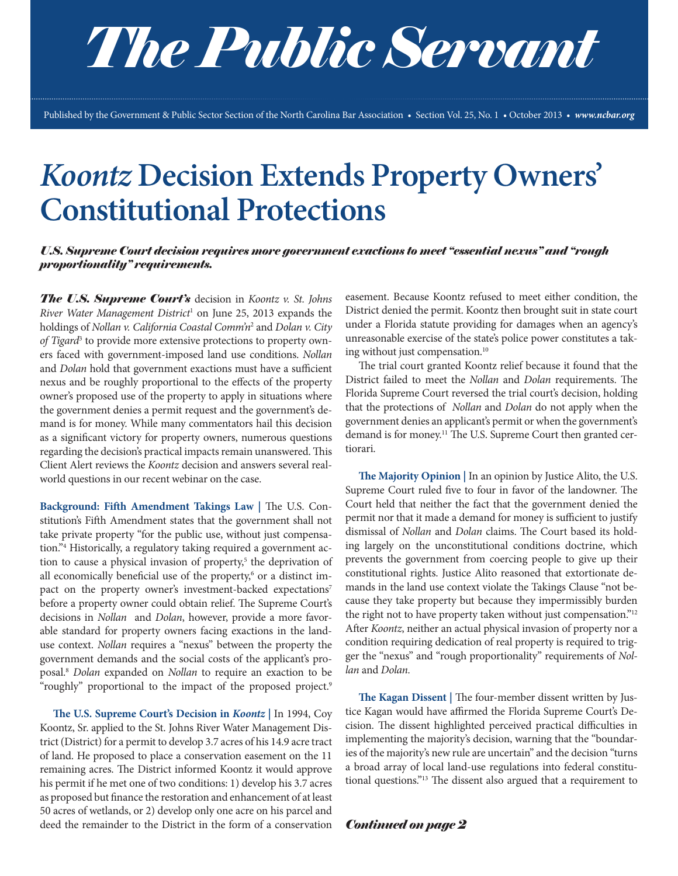# *The Public Servant*

Published by the Government & Public Sector Section of the North Carolina Bar Association • Section Vol. 25, No. 1 • October 2013 • *www.ncbar.org*

## *Koontz* **Decision Extends Property Owners' Constitutional Protections**

*U.S. Supreme Court decision requires more government exactions to meet "essential nexus" and "rough proportionality" requirements.* 

*The U.S. Supreme Court's* decision in *Koontz v. St. Johns*  River Water Management District<sup>1</sup> on June 25, 2013 expands the holdings of *Nollan v. California Coastal Comm'n*<sup>2</sup> and *Dolan v. City*  of Tigard<sup>3</sup> to provide more extensive protections to property owners faced with government-imposed land use conditions. *Nollan*  and *Dolan* hold that government exactions must have a sufficient nexus and be roughly proportional to the effects of the property owner's proposed use of the property to apply in situations where the government denies a permit request and the government's demand is for money. While many commentators hail this decision as a significant victory for property owners, numerous questions regarding the decision's practical impacts remain unanswered. This Client Alert reviews the *Koontz* decision and answers several realworld questions in our recent webinar on the case.

**Background: Fifth Amendment Takings Law |** The U.S. Constitution's Fifth Amendment states that the government shall not take private property "for the public use, without just compensation."<sup>4</sup> Historically, a regulatory taking required a government action to cause a physical invasion of property,<sup>5</sup> the deprivation of all economically beneficial use of the property,<sup>6</sup> or a distinct impact on the property owner's investment-backed expectations<sup>7</sup> before a property owner could obtain relief. The Supreme Court's decisions in *Nollan* and *Dolan*, however, provide a more favorable standard for property owners facing exactions in the landuse context. *Nollan* requires a "nexus" between the property the government demands and the social costs of the applicant's proposal.<sup>8</sup> *Dolan* expanded on *Nollan* to require an exaction to be "roughly" proportional to the impact of the proposed project.<sup>9</sup>

**The U.S. Supreme Court's Decision in** *Koontz* **|** In 1994, Coy Koontz, Sr. applied to the St. Johns River Water Management District (District) for a permit to develop 3.7 acres of his 14.9 acre tract of land. He proposed to place a conservation easement on the 11 remaining acres. The District informed Koontz it would approve his permit if he met one of two conditions: 1) develop his 3.7 acres as proposed but finance the restoration and enhancement of at least 50 acres of wetlands, or 2) develop only one acre on his parcel and deed the remainder to the District in the form of a conservation easement. Because Koontz refused to meet either condition, the District denied the permit. Koontz then brought suit in state court under a Florida statute providing for damages when an agency's unreasonable exercise of the state's police power constitutes a taking without just compensation.<sup>10</sup>

The trial court granted Koontz relief because it found that the District failed to meet the *Nollan* and *Dolan* requirements. The Florida Supreme Court reversed the trial court's decision, holding that the protections of *Nollan* and *Dolan* do not apply when the government denies an applicant's permit or when the government's demand is for money.<sup>11</sup> The U.S. Supreme Court then granted certiorari.

**The Majority Opinion |** In an opinion by Justice Alito, the U.S. Supreme Court ruled five to four in favor of the landowner. The Court held that neither the fact that the government denied the permit nor that it made a demand for money is sufficient to justify dismissal of *Nollan* and *Dolan* claims. The Court based its holding largely on the unconstitutional conditions doctrine, which prevents the government from coercing people to give up their constitutional rights. Justice Alito reasoned that extortionate demands in the land use context violate the Takings Clause "not because they take property but because they impermissibly burden the right not to have property taken without just compensation."<sup>12</sup> After *Koontz*, neither an actual physical invasion of property nor a condition requiring dedication of real property is required to trigger the "nexus" and "rough proportionality" requirements of *Nollan* and *Dolan.*

**The Kagan Dissent |** The four-member dissent written by Justice Kagan would have affirmed the Florida Supreme Court's Decision. The dissent highlighted perceived practical difficulties in implementing the majority's decision, warning that the "boundaries of the majority's new rule are uncertain" and the decision "turns a broad array of local land-use regulations into federal constitutional questions."13 The dissent also argued that a requirement to

*Continued on page 2*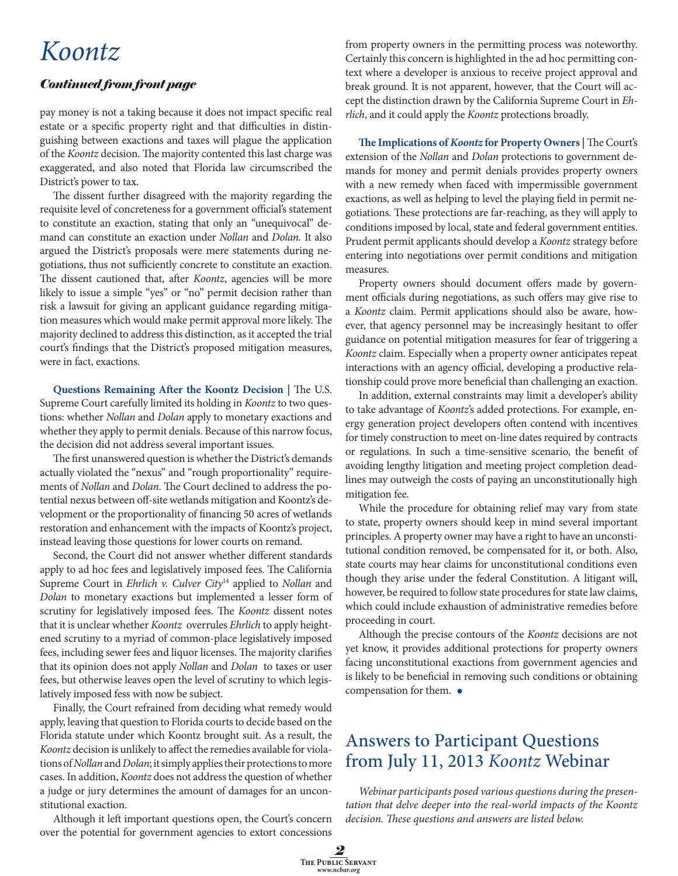### *Koontz*

#### *Continued from front page*

pay money is not a taking because it does not impact specific real estate or a specific property right and that difficulties in distinguishing between exactions and taxes will plague the application of the *Koontz* decision. The majority contented this last charge was exaggerated, and also noted that Florida law circumscribed the District's power to tax.

The dissent further disagreed with the majority regarding the requisite level of concreteness for a government official's statement to constitute an exaction, stating that only an "unequivocal" demand can constitute an exaction under *Nollan* and *Dolan.* It also argued the District's proposals were mere statements during negotiations, thus not sufficiently concrete to constitute an exaction. The dissent cautioned that, after *Koontz*, agencies will be more likely to issue a simple "yes" or "no" permit decision rather than risk a lawsuit for giving an applicant guidance regarding mitigation measures which would make permit approval more likely. The majority declined to address this distinction, as it accepted the trial court's findings that the District's proposed mitigation measures, were in fact, exactions.

**Questions Remaining After the Koontz Decision |** The U.S. Supreme Court carefully limited its holding in *Koontz* to two questions: whether *Nollan* and *Dolan* apply to monetary exactions and whether they apply to permit denials. Because of this narrow focus, the decision did not address several important issues.

The first unanswered question is whether the District's demands actually violated the "nexus" and "rough proportionality" requirements of *Nollan* and *Dolan*. The Court declined to address the potential nexus between off-site wetlands mitigation and Koontz's development or the proportionality of financing 50 acres of wetlands restoration and enhancement with the impacts of Koontz's project, instead leaving those questions for lower courts on remand.

Second, the Court did not answer whether different standards apply to ad hoc fees and legislatively imposed fees. The California Supreme Court in *Ehrlich v. Culver City*14 applied to *Nollan* and *Dolan* to monetary exactions but implemented a lesser form of scrutiny for legislatively imposed fees. The *Koontz* dissent notes that it is unclear whether *Koontz* overrules *Ehrlich* to apply heightened scrutiny to a myriad of common-place legislatively imposed fees, including sewer fees and liquor licenses. The majority clarifies that its opinion does not apply *Nollan* and *Dolan* to taxes or user fees, but otherwise leaves open the level of scrutiny to which legislatively imposed fess with now be subject.

Finally, the Court refrained from deciding what remedy would apply, leaving that question to Florida courts to decide based on the Florida statute under which Koontz brought suit. As a result, the *Koontz* decision is unlikely to affect the remedies available for violations of *Nollan* and *Dolan*; it simply applies their protections to more cases. In addition, *Koontz* does not address the question of whether a judge or jury determines the amount of damages for an unconstitutional exaction.

Although it left important questions open, the Court's concern over the potential for government agencies to extort concessions from property owners in the permitting process was noteworthy. Certainly this concern is highlighted in the ad hoc permitting context where a developer is anxious to receive project approval and break ground. It is not apparent, however, that the Court will accept the distinction drawn by the California Supreme Court in *Ehrlich*, and it could apply the *Koontz* protections broadly.

**The Implications of** *Koontz* **for Property Owners |** The Court's extension of the *Nollan* and *Dolan* protections to government demands for money and permit denials provides property owners with a new remedy when faced with impermissible government exactions, as well as helping to level the playing field in permit negotiations. These protections are far-reaching, as they will apply to conditions imposed by local, state and federal government entities. Prudent permit applicants should develop a *Koontz* strategy before entering into negotiations over permit conditions and mitigation measures.

Property owners should document offers made by government officials during negotiations, as such offers may give rise to a *Koontz* claim. Permit applications should also be aware, however, that agency personnel may be increasingly hesitant to offer guidance on potential mitigation measures for fear of triggering a *Koontz* claim. Especially when a property owner anticipates repeat interactions with an agency official, developing a productive relationship could prove more beneficial than challenging an exaction.

In addition, external constraints may limit a developer's ability to take advantage of *Koontz*'s added protections. For example, energy generation project developers often contend with incentives for timely construction to meet on-line dates required by contracts or regulations. In such a time-sensitive scenario, the benefit of avoiding lengthy litigation and meeting project completion deadlines may outweigh the costs of paying an unconstitutionally high mitigation fee.

While the procedure for obtaining relief may vary from state to state, property owners should keep in mind several important principles. A property owner may have a right to have an unconstitutional condition removed, be compensated for it, or both. Also, state courts may hear claims for unconstitutional conditions even though they arise under the federal Constitution. A litigant will, however, be required to follow state procedures for state law claims, which could include exhaustion of administrative remedies before proceeding in court.

Although the precise contours of the *Koontz* decisions are not yet know, it provides additional protections for property owners facing unconstitutional exactions from government agencies and is likely to be beneficial in removing such conditions or obtaining compensation for them. •

### Answers to Participant Questions from July 11, 2013 *Koontz* Webinar

*Webinar participants posed various questions during the presentation that delve deeper into the real-world impacts of the Koontz decision. These questions and answers are listed below.* 

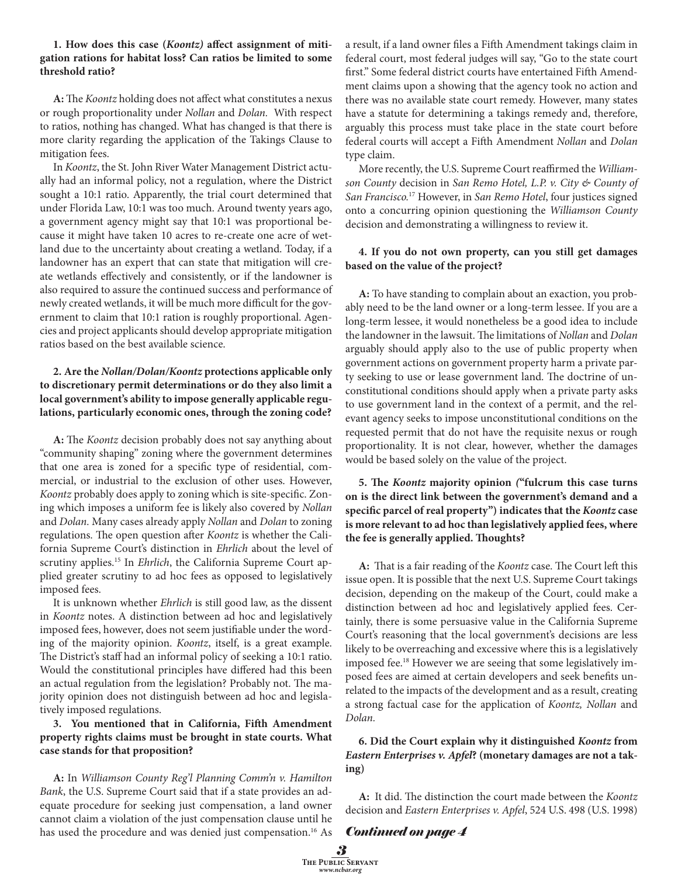#### **1. How does this case (***Koontz)* **affect assignment of mitigation rations for habitat loss? Can ratios be limited to some threshold ratio?**

**A:** The *Koontz* holding does not affect what constitutes a nexus or rough proportionality under *Nollan* and *Dolan.* With respect to ratios, nothing has changed. What has changed is that there is more clarity regarding the application of the Takings Clause to mitigation fees.

In *Koontz*, the St. John River Water Management District actually had an informal policy, not a regulation, where the District sought a 10:1 ratio. Apparently, the trial court determined that under Florida Law, 10:1 was too much. Around twenty years ago, a government agency might say that 10:1 was proportional because it might have taken 10 acres to re-create one acre of wetland due to the uncertainty about creating a wetland. Today, if a landowner has an expert that can state that mitigation will create wetlands effectively and consistently, or if the landowner is also required to assure the continued success and performance of newly created wetlands, it will be much more difficult for the government to claim that 10:1 ration is roughly proportional. Agencies and project applicants should develop appropriate mitigation ratios based on the best available science.

#### **2. Are the** *Nollan/Dolan/Koontz* **protections applicable only to discretionary permit determinations or do they also limit a local government's ability to impose generally applicable regulations, particularly economic ones, through the zoning code?**

**A:** The *Koontz* decision probably does not say anything about "community shaping" zoning where the government determines that one area is zoned for a specific type of residential, commercial, or industrial to the exclusion of other uses. However, *Koontz* probably does apply to zoning which is site-specific. Zoning which imposes a uniform fee is likely also covered by *Nollan*  and *Dolan.* Many cases already apply *Nollan* and *Dolan* to zoning regulations. The open question after *Koontz* is whether the California Supreme Court's distinction in *Ehrlich* about the level of scrutiny applies.<sup>15</sup> In *Ehrlich*, the California Supreme Court applied greater scrutiny to ad hoc fees as opposed to legislatively imposed fees.

It is unknown whether *Ehrlich* is still good law, as the dissent in *Koontz* notes. A distinction between ad hoc and legislatively imposed fees, however, does not seem justifiable under the wording of the majority opinion. *Koontz*, itself, is a great example. The District's staff had an informal policy of seeking a 10:1 ratio. Would the constitutional principles have differed had this been an actual regulation from the legislation? Probably not. The majority opinion does not distinguish between ad hoc and legislatively imposed regulations.

#### **3. You mentioned that in California, Fifth Amendment property rights claims must be brought in state courts. What case stands for that proposition?**

**A:** In *Williamson County Reg'l Planning Comm'n v. Hamilton Bank*, the U.S. Supreme Court said that if a state provides an adequate procedure for seeking just compensation, a land owner cannot claim a violation of the just compensation clause until he has used the procedure and was denied just compensation.<sup>16</sup> As a result, if a land owner files a Fifth Amendment takings claim in federal court, most federal judges will say, "Go to the state court first." Some federal district courts have entertained Fifth Amendment claims upon a showing that the agency took no action and there was no available state court remedy. However, many states have a statute for determining a takings remedy and, therefore, arguably this process must take place in the state court before federal courts will accept a Fifth Amendment *Nollan* and *Dolan*  type claim.

More recently, the U.S. Supreme Court reaffirmed the *Williamson County* decision in *San Remo Hotel, L.P. v. City & County of San Francisco.*17 However, in *San Remo Hotel*, four justices signed onto a concurring opinion questioning the *Williamson County*  decision and demonstrating a willingness to review it.

#### **4. If you do not own property, can you still get damages based on the value of the project?**

**A:** To have standing to complain about an exaction, you probably need to be the land owner or a long-term lessee. If you are a long-term lessee, it would nonetheless be a good idea to include the landowner in the lawsuit. The limitations of *Nollan* and *Dolan* arguably should apply also to the use of public property when government actions on government property harm a private party seeking to use or lease government land. The doctrine of unconstitutional conditions should apply when a private party asks to use government land in the context of a permit, and the relevant agency seeks to impose unconstitutional conditions on the requested permit that do not have the requisite nexus or rough proportionality. It is not clear, however, whether the damages would be based solely on the value of the project.

**5. The** *Koontz* **majority opinion** *(***"fulcrum this case turns on is the direct link between the government's demand and a specific parcel of real property") indicates that the** *Koontz* **case is more relevant to ad hoc than legislatively applied fees, where the fee is generally applied. Thoughts?** 

**A:** That is a fair reading of the *Koontz* case. The Court left this issue open. It is possible that the next U.S. Supreme Court takings decision, depending on the makeup of the Court, could make a distinction between ad hoc and legislatively applied fees. Certainly, there is some persuasive value in the California Supreme Court's reasoning that the local government's decisions are less likely to be overreaching and excessive where this is a legislatively imposed fee.<sup>18</sup> However we are seeing that some legislatively imposed fees are aimed at certain developers and seek benefits unrelated to the impacts of the development and as a result, creating a strong factual case for the application of *Koontz, Nollan* and *Dolan.* 

#### **6. Did the Court explain why it distinguished** *Koontz* **from**  *Eastern Enterprises v. Apfel***? (monetary damages are not a taking)**

**A:** It did. The distinction the court made between the *Koontz* decision and *Eastern Enterprises v. Apfel*, 524 U.S. 498 (U.S. 1998)

#### *Continued on page 4*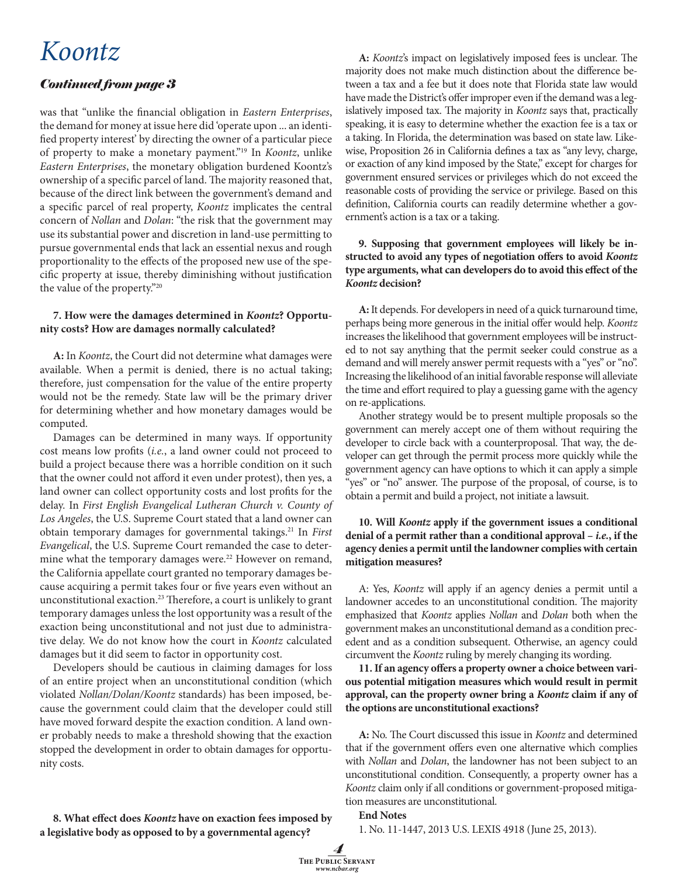### *Koontz*

#### *Continued from page 3*

was that "unlike the financial obligation in *Eastern Enterprises*, the demand for money at issue here did 'operate upon ... an identified property interest' by directing the owner of a particular piece of property to make a monetary payment."19 In *Koontz*, unlike *Eastern Enterprises*, the monetary obligation burdened Koontz's ownership of a specific parcel of land. The majority reasoned that, because of the direct link between the government's demand and a specific parcel of real property, *Koontz* implicates the central concern of *Nollan* and *Dolan*: "the risk that the government may use its substantial power and discretion in land-use permitting to pursue governmental ends that lack an essential nexus and rough proportionality to the effects of the proposed new use of the specific property at issue, thereby diminishing without justification the value of the property."20

#### **7. How were the damages determined in** *Koontz***? Opportunity costs? How are damages normally calculated?**

**A:** In *Koontz*, the Court did not determine what damages were available. When a permit is denied, there is no actual taking; therefore, just compensation for the value of the entire property would not be the remedy. State law will be the primary driver for determining whether and how monetary damages would be computed.

Damages can be determined in many ways. If opportunity cost means low profits (*i.e.*, a land owner could not proceed to build a project because there was a horrible condition on it such that the owner could not afford it even under protest), then yes, a land owner can collect opportunity costs and lost profits for the delay. In *First English Evangelical Lutheran Church v. County of Los Angeles*, the U.S. Supreme Court stated that a land owner can obtain temporary damages for governmental takings.21 In *First Evangelical*, the U.S. Supreme Court remanded the case to determine what the temporary damages were.<sup>22</sup> However on remand, the California appellate court granted no temporary damages because acquiring a permit takes four or five years even without an unconstitutional exaction.23 Therefore, a court is unlikely to grant temporary damages unless the lost opportunity was a result of the exaction being unconstitutional and not just due to administrative delay. We do not know how the court in *Koontz* calculated damages but it did seem to factor in opportunity cost.

Developers should be cautious in claiming damages for loss of an entire project when an unconstitutional condition (which violated *Nollan/Dolan/Koontz* standards) has been imposed, because the government could claim that the developer could still have moved forward despite the exaction condition. A land owner probably needs to make a threshold showing that the exaction stopped the development in order to obtain damages for opportunity costs.

**8. What effect does** *Koontz* **have on exaction fees imposed by a legislative body as opposed to by a governmental agency?** 

**A:** *Koontz*'s impact on legislatively imposed fees is unclear. The majority does not make much distinction about the difference between a tax and a fee but it does note that Florida state law would have made the District's offer improper even if the demand was a legislatively imposed tax. The majority in *Koontz* says that, practically speaking, it is easy to determine whether the exaction fee is a tax or a taking. In Florida, the determination was based on state law. Likewise, Proposition 26 in California defines a tax as "any levy, charge, or exaction of any kind imposed by the State," except for charges for government ensured services or privileges which do not exceed the reasonable costs of providing the service or privilege. Based on this definition, California courts can readily determine whether a government's action is a tax or a taking.

#### **9. Supposing that government employees will likely be instructed to avoid any types of negotiation offers to avoid** *Koontz* **type arguments, what can developers do to avoid this effect of the**  *Koontz* **decision?**

**A:** It depends. For developers in need of a quick turnaround time, perhaps being more generous in the initial offer would help. *Koontz* increases the likelihood that government employees will be instructed to not say anything that the permit seeker could construe as a demand and will merely answer permit requests with a "yes" or "no". Increasing the likelihood of an initial favorable response will alleviate the time and effort required to play a guessing game with the agency on re-applications.

Another strategy would be to present multiple proposals so the government can merely accept one of them without requiring the developer to circle back with a counterproposal. That way, the developer can get through the permit process more quickly while the government agency can have options to which it can apply a simple "yes" or "no" answer. The purpose of the proposal, of course, is to obtain a permit and build a project, not initiate a lawsuit.

#### **10. Will** *Koontz* **apply if the government issues a conditional denial of a permit rather than a conditional approval –** *i.e.***, if the agency denies a permit until the landowner complies with certain mitigation measures?**

A: Yes, *Koontz* will apply if an agency denies a permit until a landowner accedes to an unconstitutional condition. The majority emphasized that *Koontz* applies *Nollan* and *Dolan* both when the government makes an unconstitutional demand as a condition precedent and as a condition subsequent. Otherwise, an agency could circumvent the *Koontz* ruling by merely changing its wording.

**11. If an agency offers a property owner a choice between various potential mitigation measures which would result in permit approval, can the property owner bring a** *Koontz* **claim if any of the options are unconstitutional exactions?**

**A:** No. The Court discussed this issue in *Koontz* and determined that if the government offers even one alternative which complies with *Nollan* and *Dolan*, the landowner has not been subject to an unconstitutional condition. Consequently, a property owner has a *Koontz* claim only if all conditions or government-proposed mitigation measures are unconstitutional.

**End Notes**

1. No. 11-1447, 2013 U.S. LEXIS 4918 (June 25, 2013).